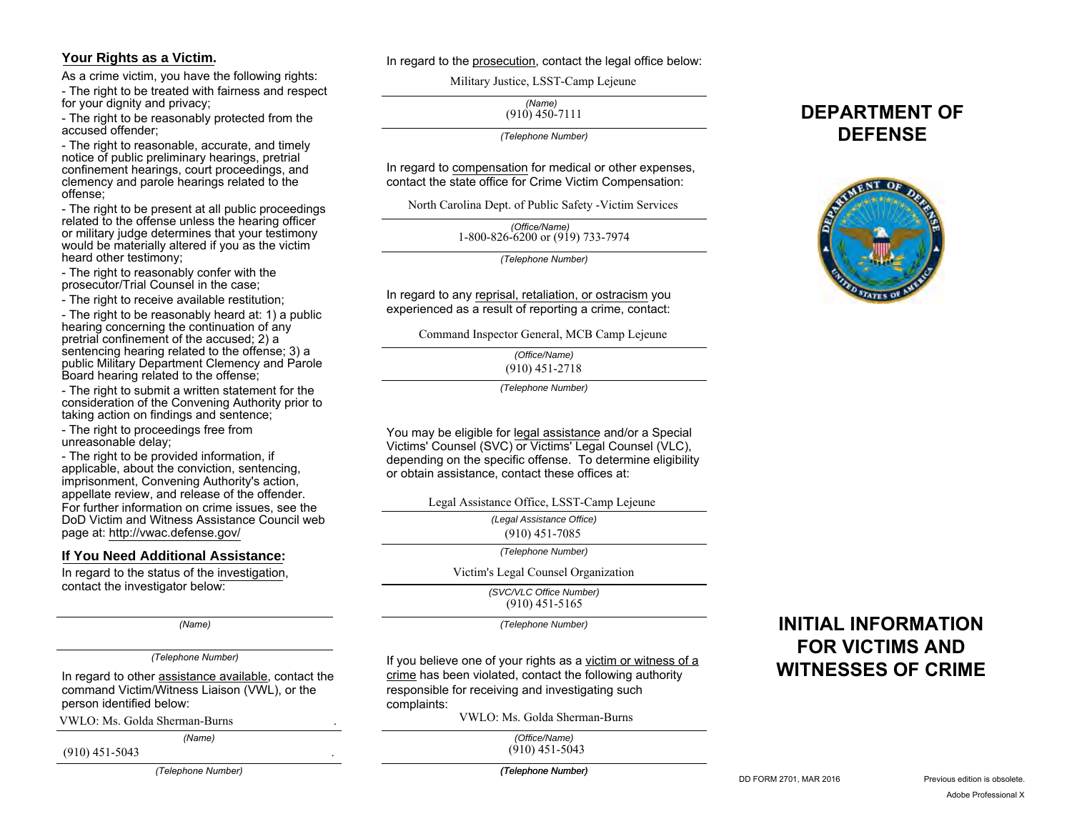## **Your Rights as a Victim.**

As a crime victim, you have the following rights:

- The right to be treated with fairness and respect for your dignity and privacy;

- The right to be reasonably protected from the accused offender;

- The right to reasonable, accurate, and timely notice of public preliminary hearings, pretrial confinement hearings, court proceedings, and clemency and parole hearings related to the offense;

- The right to be present at all public proceedings related to the offense unless the hearing officer or military judge determines that your testimony would be materially altered if you as the victim heard other testimony;

- The right to reasonably confer with the prosecutor/Trial Counsel in the case;

- The right to receive available restitution:

- The right to be reasonably heard at: 1) a public hearing concerning the continuation of any pretrial confinement of the accused; 2) a sentencing hearing related to the offense; 3) a public Military Department Clemency and Parole Board hearing related to the offense;

- The right to submit a written statement for the consideration of the Convening Authority prior to taking action on findings and sentence;

- The right to proceedings free from unreasonable delay;

- The right to be provided information, if applicable, about the conviction, sentencing, imprisonment, Convening Authority's action, appellate review, and release of the offender. For further information on crime issues, see the DoD Victim and Witness Assistance Council web page at: http://vwac.defense.gov/

## **If You Need Additional Assistance:**

In regard to the status of the investigation, contact the investigator below:

*(Name)*

### *(Telephone Number)*

In regard to other assistance available, contact the command Victim/Witness Liaison (VWL), or the person identified below:

VWLO: Ms. Golda Sherman-Burns .

(910) 451-5043 .

*(Telephone Number)*

*(Name)*

### In regard to the prosecution, contact the legal office below:

Military Justice, LSST-Camp Lejeune

*(Name)*  $(910)$  450-7111

*(Telephone Number)*

In regard to compensation for medical or other expenses, contact the state office for Crime Victim Compensation:

North Carolina Dept. of Public Safety -Victim Services

*(Office/Name)* 1-800-826-6200 or (919) 733-7974

*(Telephone Number)*

In regard to any reprisal, retaliation, or ostracism you experienced as a result of reporting a crime, contact:

Command Inspector General, MCB Camp Lejeune

*(Office/Name)* (910) 451-2718

*(Telephone Number)*

You may be eligible for legal assistance and/or a Special Victims' Counsel (SVC) or Victims' Legal Counsel (VLC), depending on the specific offense. To determine eligibility or obtain assistance, contact these offices at:

Legal Assistance Office, LSST-Camp Lejeune

*(Legal Assistance Office)*

(910) 451-7085

*(Telephone Number)*

Victim's Legal Counsel Organization

*(SVC/VLC Office Number)* (910) 451-5165

*(Telephone Number)*

If you believe one of your rights as a victim or witness of a crime has been violated, contact the following authority responsible for receiving and investigating such complaints:

VWLO: Ms. Golda Sherman-Burns

*(Office/Name)*<br>2 910) 451-5043)<br>Telephone Number)

# **INITIAL INFORMATION FOR VICTIMS AND WITNESSES OF CRIME**



**DEPARTMENT OF** 

*(Telephone Number)*